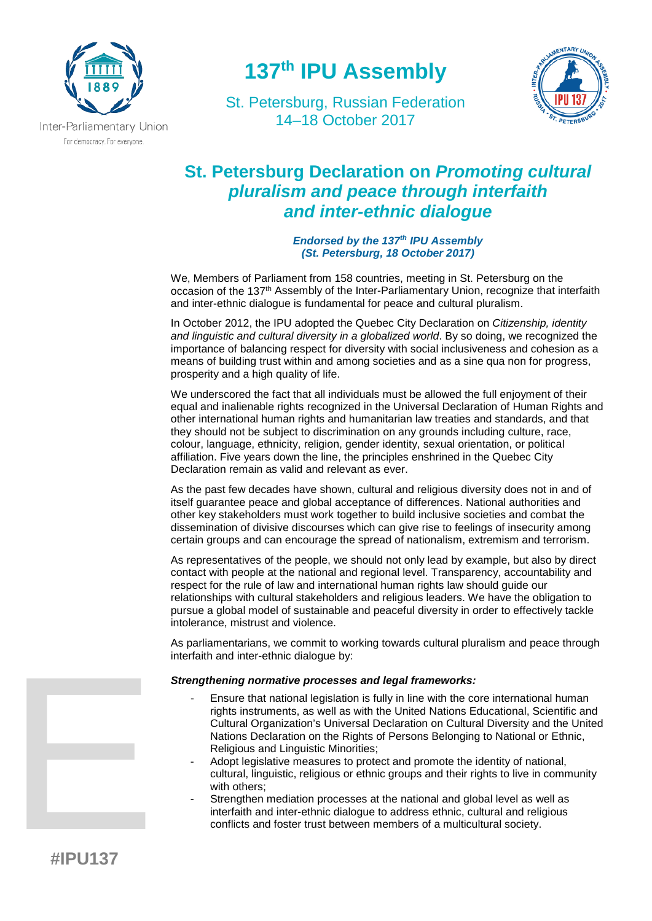

**137th IPU Assembly**

St. Petersburg, Russian Federation 14–18 October 2017



# **St. Petersburg Declaration on** *Promoting cultural pluralism and peace through interfaith and inter-ethnic dialogue*

*Endorsed by the 137th IPU Assembly (St. Petersburg, 18 October 2017)*

We, Members of Parliament from 158 countries, meeting in St. Petersburg on the occasion of the 137<sup>th</sup> Assembly of the Inter-Parliamentary Union, recognize that interfaith and inter-ethnic dialogue is fundamental for peace and cultural pluralism.

In October 2012, the IPU adopted the Quebec City Declaration on *Citizenship, identity and linguistic and cultural diversity in a globalized world*. By so doing, we recognized the importance of balancing respect for diversity with social inclusiveness and cohesion as a means of building trust within and among societies and as a sine qua non for progress, prosperity and a high quality of life.

We underscored the fact that all individuals must be allowed the full enjoyment of their equal and inalienable rights recognized in the Universal Declaration of Human Rights and other international human rights and humanitarian law treaties and standards, and that they should not be subject to discrimination on any grounds including culture, race, colour, language, ethnicity, religion, gender identity, sexual orientation, or political affiliation. Five years down the line, the principles enshrined in the Quebec City Declaration remain as valid and relevant as ever.

As the past few decades have shown, cultural and religious diversity does not in and of itself guarantee peace and global acceptance of differences. National authorities and other key stakeholders must work together to build inclusive societies and combat the dissemination of divisive discourses which can give rise to feelings of insecurity among certain groups and can encourage the spread of nationalism, extremism and terrorism.

As representatives of the people, we should not only lead by example, but also by direct contact with people at the national and regional level. Transparency, accountability and respect for the rule of law and international human rights law should guide our relationships with cultural stakeholders and religious leaders. We have the obligation to pursue a global model of sustainable and peaceful diversity in order to effectively tackle intolerance, mistrust and violence.

As parliamentarians, we commit to working towards cultural pluralism and peace through interfaith and inter-ethnic dialogue by:

# *Strengthening normative processes and legal frameworks:*

- Ensure that national legislation is fully in line with the core international human rights instruments, as well as with the United Nations Educational, Scientific and Cultural Organization's Universal Declaration on Cultural Diversity and the United Nations Declaration on the Rights of Persons Belonging to National or Ethnic, Religious and Linguistic Minorities:
- Adopt legislative measures to protect and promote the identity of national. cultural, linguistic, religious or ethnic groups and their rights to live in community with others:
- Strengthen mediation processes at the national and global level as well as interfaith and inter-ethnic dialogue to address ethnic, cultural and religious conflicts and foster trust between members of a multicultural society.

**EXAMPLE 25**<br>
WHAT THE WARD TO THE MANUSCRIP **#IPU137**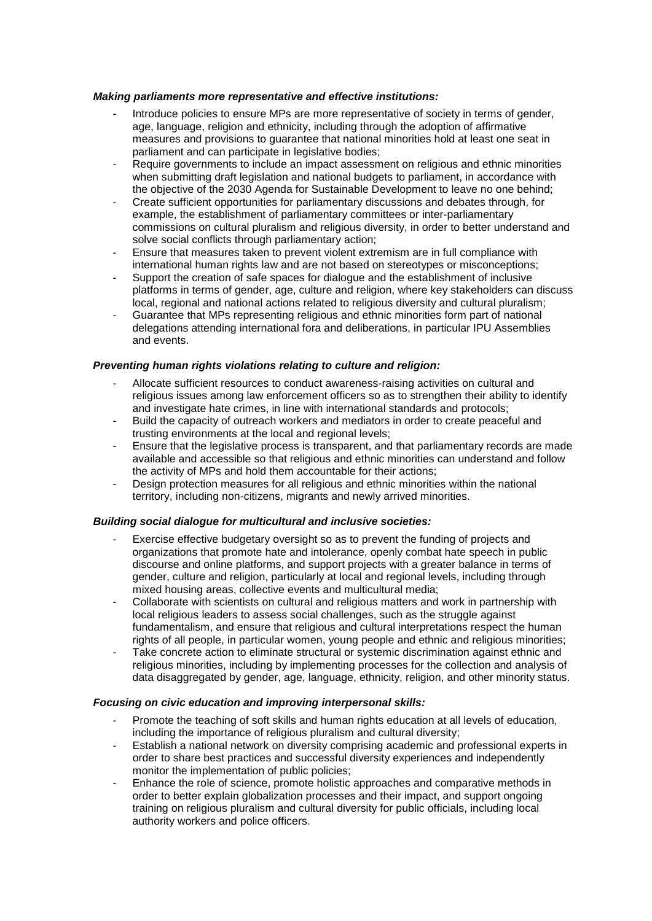#### *Making parliaments more representative and effective institutions:*

- Introduce policies to ensure MPs are more representative of society in terms of gender, age, language, religion and ethnicity, including through the adoption of affirmative measures and provisions to guarantee that national minorities hold at least one seat in parliament and can participate in legislative bodies;
- Require governments to include an impact assessment on religious and ethnic minorities when submitting draft legislation and national budgets to parliament, in accordance with the objective of the 2030 Agenda for Sustainable Development to leave no one behind;
- Create sufficient opportunities for parliamentary discussions and debates through, for example, the establishment of parliamentary committees or inter-parliamentary commissions on cultural pluralism and religious diversity, in order to better understand and solve social conflicts through parliamentary action:
- Ensure that measures taken to prevent violent extremism are in full compliance with international human rights law and are not based on stereotypes or misconceptions;
- Support the creation of safe spaces for dialogue and the establishment of inclusive platforms in terms of gender, age, culture and religion, where key stakeholders can discuss local, regional and national actions related to religious diversity and cultural pluralism;
- Guarantee that MPs representing religious and ethnic minorities form part of national delegations attending international fora and deliberations, in particular IPU Assemblies and events.

# *Preventing human rights violations relating to culture and religion:*

- Allocate sufficient resources to conduct awareness-raising activities on cultural and religious issues among law enforcement officers so as to strengthen their ability to identify and investigate hate crimes, in line with international standards and protocols;
- Build the capacity of outreach workers and mediators in order to create peaceful and trusting environments at the local and regional levels;
- Ensure that the legislative process is transparent, and that parliamentary records are made available and accessible so that religious and ethnic minorities can understand and follow the activity of MPs and hold them accountable for their actions;
- Design protection measures for all religious and ethnic minorities within the national territory, including non-citizens, migrants and newly arrived minorities.

# *Building social dialogue for multicultural and inclusive societies:*

- Exercise effective budgetary oversight so as to prevent the funding of projects and organizations that promote hate and intolerance, openly combat hate speech in public discourse and online platforms, and support projects with a greater balance in terms of gender, culture and religion, particularly at local and regional levels, including through mixed housing areas, collective events and multicultural media;
- Collaborate with scientists on cultural and religious matters and work in partnership with local religious leaders to assess social challenges, such as the struggle against fundamentalism, and ensure that religious and cultural interpretations respect the human rights of all people, in particular women, young people and ethnic and religious minorities;
- Take concrete action to eliminate structural or systemic discrimination against ethnic and religious minorities, including by implementing processes for the collection and analysis of data disaggregated by gender, age, language, ethnicity, religion, and other minority status.

#### *Focusing on civic education and improving interpersonal skills:*

- Promote the teaching of soft skills and human rights education at all levels of education, including the importance of religious pluralism and cultural diversity;
- Establish a national network on diversity comprising academic and professional experts in order to share best practices and successful diversity experiences and independently monitor the implementation of public policies;
- Enhance the role of science, promote holistic approaches and comparative methods in order to better explain globalization processes and their impact, and support ongoing training on religious pluralism and cultural diversity for public officials, including local authority workers and police officers.